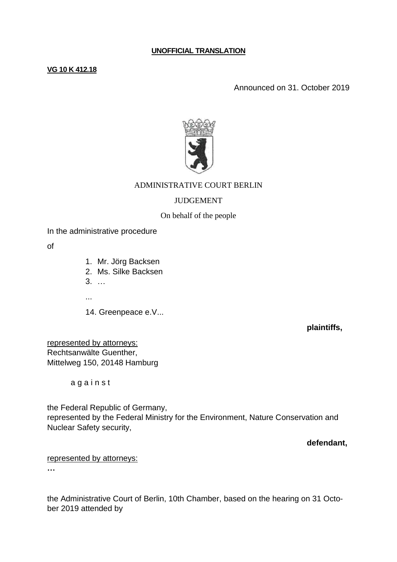## **UNOFFICIAL TRANSLATION**

### **VG 10 K 412.18**

Announced on 31. October 2019



## ADMINISTRATIVE COURT BERLIN

## JUDGEMENT

On behalf of the people

In the administrative procedure

of

1. Mr. Jörg Backsen

- 2. Ms. Silke Backsen
- 3. …
- ...
- 14. Greenpeace e.V...

**plaintiffs,** 

represented by attorneys: Rechtsanwälte Guenther, Mittelweg 150, 20148 Hamburg

a g a i n s t

the Federal Republic of Germany, represented by the Federal Ministry for the Environment, Nature Conservation and Nuclear Safety security,

## **defendant,**

represented by attorneys:

**…**

the Administrative Court of Berlin, 10th Chamber, based on the hearing on 31 October 2019 attended by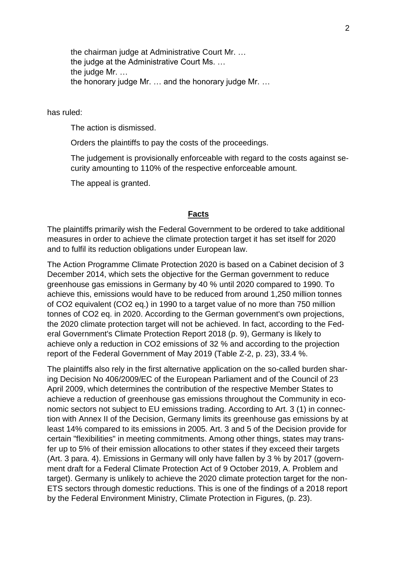the chairman judge at Administrative Court Mr. … the judge at the Administrative Court Ms. … the judge Mr. … the honorary judge Mr. … and the honorary judge Mr. …

has ruled:

The action is dismissed.

Orders the plaintiffs to pay the costs of the proceedings.

The judgement is provisionally enforceable with regard to the costs against security amounting to 110% of the respective enforceable amount.

The appeal is granted.

#### **Facts**

The plaintiffs primarily wish the Federal Government to be ordered to take additional measures in order to achieve the climate protection target it has set itself for 2020 and to fulfil its reduction obligations under European law.

The Action Programme Climate Protection 2020 is based on a Cabinet decision of 3 December 2014, which sets the objective for the German government to reduce greenhouse gas emissions in Germany by 40 % until 2020 compared to 1990. To achieve this, emissions would have to be reduced from around 1,250 million tonnes of CO2 equivalent (CO2 eq.) in 1990 to a target value of no more than 750 million tonnes of CO2 eq. in 2020. According to the German government's own projections, the 2020 climate protection target will not be achieved. In fact, according to the Federal Government's Climate Protection Report 2018 (p. 9), Germany is likely to achieve only a reduction in CO2 emissions of 32 % and according to the projection report of the Federal Government of May 2019 (Table Z-2, p. 23), 33.4 %.

The plaintiffs also rely in the first alternative application on the so-called burden sharing Decision No 406/2009/EC of the European Parliament and of the Council of 23 April 2009, which determines the contribution of the respective Member States to achieve a reduction of greenhouse gas emissions throughout the Community in economic sectors not subject to EU emissions trading. According to Art. 3 (1) in connection with Annex II of the Decision, Germany limits its greenhouse gas emissions by at least 14% compared to its emissions in 2005. Art. 3 and 5 of the Decision provide for certain "flexibilities" in meeting commitments. Among other things, states may transfer up to 5% of their emission allocations to other states if they exceed their targets (Art. 3 para. 4). Emissions in Germany will only have fallen by 3 % by 2017 (government draft for a Federal Climate Protection Act of 9 October 2019, A. Problem and target). Germany is unlikely to achieve the 2020 climate protection target for the non-ETS sectors through domestic reductions. This is one of the findings of a 2018 report by the Federal Environment Ministry, Climate Protection in Figures, (p. 23).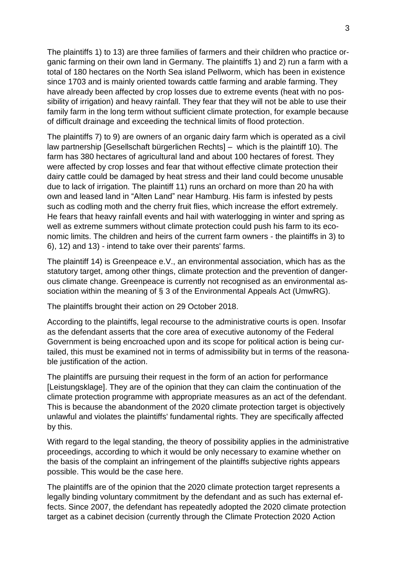The plaintiffs 1) to 13) are three families of farmers and their children who practice organic farming on their own land in Germany. The plaintiffs 1) and 2) run a farm with a total of 180 hectares on the North Sea island Pellworm, which has been in existence since 1703 and is mainly oriented towards cattle farming and arable farming. They have already been affected by crop losses due to extreme events (heat with no possibility of irrigation) and heavy rainfall. They fear that they will not be able to use their family farm in the long term without sufficient climate protection, for example because of difficult drainage and exceeding the technical limits of flood protection.

The plaintiffs 7) to 9) are owners of an organic dairy farm which is operated as a civil law partnership [Gesellschaft bürgerlichen Rechts] – which is the plaintiff 10). The farm has 380 hectares of agricultural land and about 100 hectares of forest. They were affected by crop losses and fear that without effective climate protection their dairy cattle could be damaged by heat stress and their land could become unusable due to lack of irrigation. The plaintiff 11) runs an orchard on more than 20 ha with own and leased land in "Alten Land" near Hamburg. His farm is infested by pests such as codling moth and the cherry fruit flies, which increase the effort extremely. He fears that heavy rainfall events and hail with waterlogging in winter and spring as well as extreme summers without climate protection could push his farm to its economic limits. The children and heirs of the current farm owners - the plaintiffs in 3) to 6), 12) and 13) - intend to take over their parents' farms.

The plaintiff 14) is Greenpeace e.V., an environmental association, which has as the statutory target, among other things, climate protection and the prevention of dangerous climate change. Greenpeace is currently not recognised as an environmental association within the meaning of § 3 of the Environmental Appeals Act (UmwRG).

The plaintiffs brought their action on 29 October 2018.

According to the plaintiffs, legal recourse to the administrative courts is open. Insofar as the defendant asserts that the core area of executive autonomy of the Federal Government is being encroached upon and its scope for political action is being curtailed, this must be examined not in terms of admissibility but in terms of the reasonable justification of the action.

The plaintiffs are pursuing their request in the form of an action for performance [Leistungsklage]. They are of the opinion that they can claim the continuation of the climate protection programme with appropriate measures as an act of the defendant. This is because the abandonment of the 2020 climate protection target is objectively unlawful and violates the plaintiffs' fundamental rights. They are specifically affected by this.

With regard to the legal standing, the theory of possibility applies in the administrative proceedings, according to which it would be only necessary to examine whether on the basis of the complaint an infringement of the plaintiffs subjective rights appears possible. This would be the case here.

The plaintiffs are of the opinion that the 2020 climate protection target represents a legally binding voluntary commitment by the defendant and as such has external effects. Since 2007, the defendant has repeatedly adopted the 2020 climate protection target as a cabinet decision (currently through the Climate Protection 2020 Action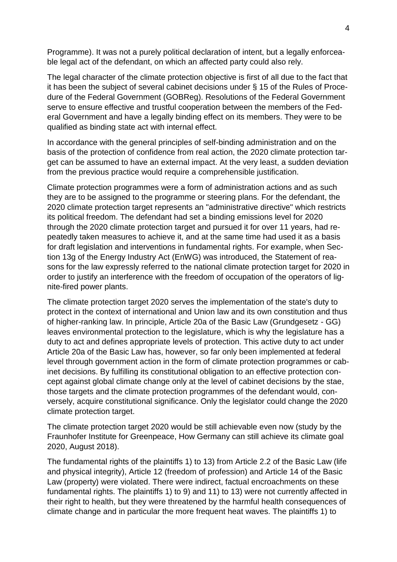Programme). It was not a purely political declaration of intent, but a legally enforceable legal act of the defendant, on which an affected party could also rely.

The legal character of the climate protection objective is first of all due to the fact that it has been the subject of several cabinet decisions under § 15 of the Rules of Procedure of the Federal Government (GOBReg). Resolutions of the Federal Government serve to ensure effective and trustful cooperation between the members of the Federal Government and have a legally binding effect on its members. They were to be qualified as binding state act with internal effect.

In accordance with the general principles of self-binding administration and on the basis of the protection of confidence from real action, the 2020 climate protection target can be assumed to have an external impact. At the very least, a sudden deviation from the previous practice would require a comprehensible justification.

Climate protection programmes were a form of administration actions and as such they are to be assigned to the programme or steering plans. For the defendant, the 2020 climate protection target represents an "administrative directive" which restricts its political freedom. The defendant had set a binding emissions level for 2020 through the 2020 climate protection target and pursued it for over 11 years, had repeatedly taken measures to achieve it, and at the same time had used it as a basis for draft legislation and interventions in fundamental rights. For example, when Section 13g of the Energy Industry Act (EnWG) was introduced, the Statement of reasons for the law expressly referred to the national climate protection target for 2020 in order to justify an interference with the freedom of occupation of the operators of lignite-fired power plants.

The climate protection target 2020 serves the implementation of the state's duty to protect in the context of international and Union law and its own constitution and thus of higher-ranking law. In principle, Article 20a of the Basic Law (Grundgesetz - GG) leaves environmental protection to the legislature, which is why the legislature has a duty to act and defines appropriate levels of protection. This active duty to act under Article 20a of the Basic Law has, however, so far only been implemented at federal level through government action in the form of climate protection programmes or cabinet decisions. By fulfilling its constitutional obligation to an effective protection concept against global climate change only at the level of cabinet decisions by the stae, those targets and the climate protection programmes of the defendant would, conversely, acquire constitutional significance. Only the legislator could change the 2020 climate protection target.

The climate protection target 2020 would be still achievable even now (study by the Fraunhofer Institute for Greenpeace, How Germany can still achieve its climate goal 2020, August 2018).

The fundamental rights of the plaintiffs 1) to 13) from Article 2.2 of the Basic Law (life and physical integrity), Article 12 (freedom of profession) and Article 14 of the Basic Law (property) were violated. There were indirect, factual encroachments on these fundamental rights. The plaintiffs 1) to 9) and 11) to 13) were not currently affected in their right to health, but they were threatened by the harmful health consequences of climate change and in particular the more frequent heat waves. The plaintiffs 1) to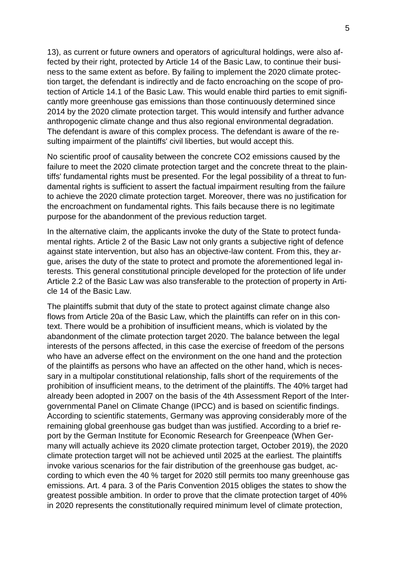13), as current or future owners and operators of agricultural holdings, were also affected by their right, protected by Article 14 of the Basic Law, to continue their business to the same extent as before. By failing to implement the 2020 climate protection target, the defendant is indirectly and de facto encroaching on the scope of protection of Article 14.1 of the Basic Law. This would enable third parties to emit significantly more greenhouse gas emissions than those continuously determined since 2014 by the 2020 climate protection target. This would intensify and further advance anthropogenic climate change and thus also regional environmental degradation. The defendant is aware of this complex process. The defendant is aware of the resulting impairment of the plaintiffs' civil liberties, but would accept this.

No scientific proof of causality between the concrete CO2 emissions caused by the failure to meet the 2020 climate protection target and the concrete threat to the plaintiffs' fundamental rights must be presented. For the legal possibility of a threat to fundamental rights is sufficient to assert the factual impairment resulting from the failure to achieve the 2020 climate protection target. Moreover, there was no justification for the encroachment on fundamental rights. This fails because there is no legitimate purpose for the abandonment of the previous reduction target.

In the alternative claim, the applicants invoke the duty of the State to protect fundamental rights. Article 2 of the Basic Law not only grants a subjective right of defence against state intervention, but also has an objective-law content. From this, they argue, arises the duty of the state to protect and promote the aforementioned legal interests. This general constitutional principle developed for the protection of life under Article 2.2 of the Basic Law was also transferable to the protection of property in Article 14 of the Basic Law.

The plaintiffs submit that duty of the state to protect against climate change also flows from Article 20a of the Basic Law, which the plaintiffs can refer on in this context. There would be a prohibition of insufficient means, which is violated by the abandonment of the climate protection target 2020. The balance between the legal interests of the persons affected, in this case the exercise of freedom of the persons who have an adverse effect on the environment on the one hand and the protection of the plaintiffs as persons who have an affected on the other hand, which is necessary in a multipolar constitutional relationship, falls short of the requirements of the prohibition of insufficient means, to the detriment of the plaintiffs. The 40% target had already been adopted in 2007 on the basis of the 4th Assessment Report of the Intergovernmental Panel on Climate Change (IPCC) and is based on scientific findings. According to scientific statements, Germany was approving considerably more of the remaining global greenhouse gas budget than was justified. According to a brief report by the German Institute for Economic Research for Greenpeace (When Germany will actually achieve its 2020 climate protection target, October 2019), the 2020 climate protection target will not be achieved until 2025 at the earliest. The plaintiffs invoke various scenarios for the fair distribution of the greenhouse gas budget, according to which even the 40 % target for 2020 still permits too many greenhouse gas emissions. Art. 4 para. 3 of the Paris Convention 2015 obliges the states to show the greatest possible ambition. In order to prove that the climate protection target of 40% in 2020 represents the constitutionally required minimum level of climate protection,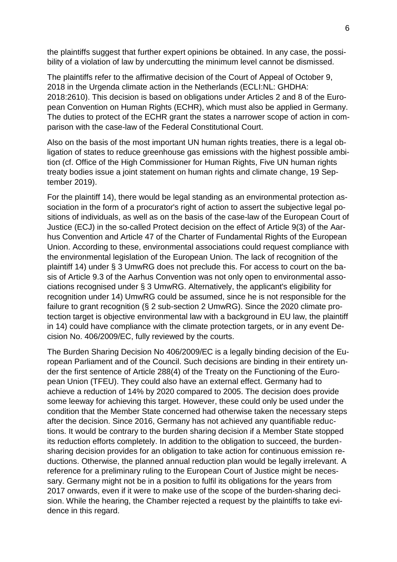the plaintiffs suggest that further expert opinions be obtained. In any case, the possibility of a violation of law by undercutting the minimum level cannot be dismissed.

The plaintiffs refer to the affirmative decision of the Court of Appeal of October 9, 2018 in the Urgenda climate action in the Netherlands (ECLI:NL: GHDHA: 2018:2610). This decision is based on obligations under Articles 2 and 8 of the European Convention on Human Rights (ECHR), which must also be applied in Germany. The duties to protect of the ECHR grant the states a narrower scope of action in comparison with the case-law of the Federal Constitutional Court.

Also on the basis of the most important UN human rights treaties, there is a legal obligation of states to reduce greenhouse gas emissions with the highest possible ambition (cf. Office of the High Commissioner for Human Rights, Five UN human rights treaty bodies issue a joint statement on human rights and climate change, 19 September 2019).

For the plaintiff 14), there would be legal standing as an environmental protection association in the form of a procurator's right of action to assert the subjective legal positions of individuals, as well as on the basis of the case-law of the European Court of Justice (ECJ) in the so-called Protect decision on the effect of Article 9(3) of the Aarhus Convention and Article 47 of the Charter of Fundamental Rights of the European Union. According to these, environmental associations could request compliance with the environmental legislation of the European Union. The lack of recognition of the plaintiff 14) under § 3 UmwRG does not preclude this. For access to court on the basis of Article 9.3 of the Aarhus Convention was not only open to environmental associations recognised under § 3 UmwRG. Alternatively, the applicant's eligibility for recognition under 14) UmwRG could be assumed, since he is not responsible for the failure to grant recognition (§ 2 sub-section 2 UmwRG). Since the 2020 climate protection target is objective environmental law with a background in EU law, the plaintiff in 14) could have compliance with the climate protection targets, or in any event Decision No. 406/2009/EC, fully reviewed by the courts.

The Burden Sharing Decision No 406/2009/EC is a legally binding decision of the European Parliament and of the Council. Such decisions are binding in their entirety under the first sentence of Article 288(4) of the Treaty on the Functioning of the European Union (TFEU). They could also have an external effect. Germany had to achieve a reduction of 14% by 2020 compared to 2005. The decision does provide some leeway for achieving this target. However, these could only be used under the condition that the Member State concerned had otherwise taken the necessary steps after the decision. Since 2016, Germany has not achieved any quantifiable reductions. It would be contrary to the burden sharing decision if a Member State stopped its reduction efforts completely. In addition to the obligation to succeed, the burdensharing decision provides for an obligation to take action for continuous emission reductions. Otherwise, the planned annual reduction plan would be legally irrelevant. A reference for a preliminary ruling to the European Court of Justice might be necessary. Germany might not be in a position to fulfil its obligations for the years from 2017 onwards, even if it were to make use of the scope of the burden-sharing decision. While the hearing, the Chamber rejected a request by the plaintiffs to take evidence in this regard.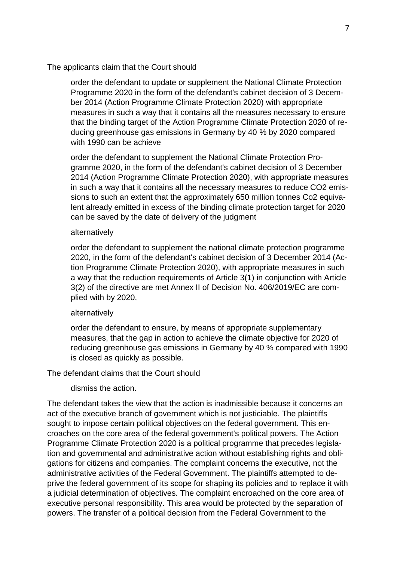The applicants claim that the Court should

order the defendant to update or supplement the National Climate Protection Programme 2020 in the form of the defendant's cabinet decision of 3 December 2014 (Action Programme Climate Protection 2020) with appropriate measures in such a way that it contains all the measures necessary to ensure that the binding target of the Action Programme Climate Protection 2020 of reducing greenhouse gas emissions in Germany by 40 % by 2020 compared with 1990 can be achieve

order the defendant to supplement the National Climate Protection Programme 2020, in the form of the defendant's cabinet decision of 3 December 2014 (Action Programme Climate Protection 2020), with appropriate measures in such a way that it contains all the necessary measures to reduce CO2 emissions to such an extent that the approximately 650 million tonnes Co2 equivalent already emitted in excess of the binding climate protection target for 2020 can be saved by the date of delivery of the judgment

### alternatively

order the defendant to supplement the national climate protection programme 2020, in the form of the defendant's cabinet decision of 3 December 2014 (Action Programme Climate Protection 2020), with appropriate measures in such a way that the reduction requirements of Article 3(1) in conjunction with Article 3(2) of the directive are met Annex II of Decision No. 406/2019/EC are complied with by 2020,

### alternatively

order the defendant to ensure, by means of appropriate supplementary measures, that the gap in action to achieve the climate objective for 2020 of reducing greenhouse gas emissions in Germany by 40 % compared with 1990 is closed as quickly as possible.

The defendant claims that the Court should

dismiss the action.

The defendant takes the view that the action is inadmissible because it concerns an act of the executive branch of government which is not justiciable. The plaintiffs sought to impose certain political objectives on the federal government. This encroaches on the core area of the federal government's political powers. The Action Programme Climate Protection 2020 is a political programme that precedes legislation and governmental and administrative action without establishing rights and obligations for citizens and companies. The complaint concerns the executive, not the administrative activities of the Federal Government. The plaintiffs attempted to deprive the federal government of its scope for shaping its policies and to replace it with a judicial determination of objectives. The complaint encroached on the core area of executive personal responsibility. This area would be protected by the separation of powers. The transfer of a political decision from the Federal Government to the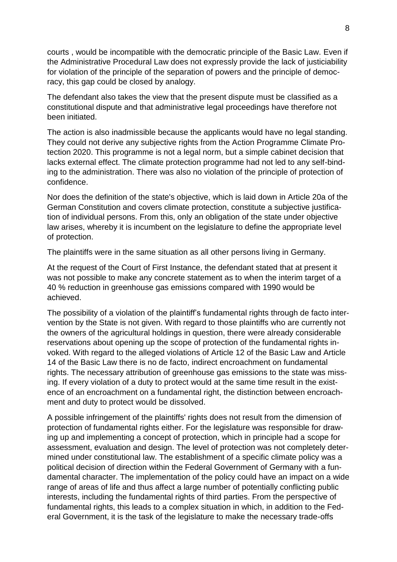courts , would be incompatible with the democratic principle of the Basic Law. Even if the Administrative Procedural Law does not expressly provide the lack of justiciability for violation of the principle of the separation of powers and the principle of democracy, this gap could be closed by analogy.

The defendant also takes the view that the present dispute must be classified as a constitutional dispute and that administrative legal proceedings have therefore not been initiated.

The action is also inadmissible because the applicants would have no legal standing. They could not derive any subjective rights from the Action Programme Climate Protection 2020. This programme is not a legal norm, but a simple cabinet decision that lacks external effect. The climate protection programme had not led to any self-binding to the administration. There was also no violation of the principle of protection of confidence.

Nor does the definition of the state's objective, which is laid down in Article 20a of the German Constitution and covers climate protection, constitute a subjective justification of individual persons. From this, only an obligation of the state under objective law arises, whereby it is incumbent on the legislature to define the appropriate level of protection.

The plaintiffs were in the same situation as all other persons living in Germany.

At the request of the Court of First Instance, the defendant stated that at present it was not possible to make any concrete statement as to when the interim target of a 40 % reduction in greenhouse gas emissions compared with 1990 would be achieved.

The possibility of a violation of the plaintiff's fundamental rights through de facto intervention by the State is not given. With regard to those plaintiffs who are currently not the owners of the agricultural holdings in question, there were already considerable reservations about opening up the scope of protection of the fundamental rights invoked. With regard to the alleged violations of Article 12 of the Basic Law and Article 14 of the Basic Law there is no de facto, indirect encroachment on fundamental rights. The necessary attribution of greenhouse gas emissions to the state was missing. If every violation of a duty to protect would at the same time result in the existence of an encroachment on a fundamental right, the distinction between encroachment and duty to protect would be dissolved.

A possible infringement of the plaintiffs' rights does not result from the dimension of protection of fundamental rights either. For the legislature was responsible for drawing up and implementing a concept of protection, which in principle had a scope for assessment, evaluation and design. The level of protection was not completely determined under constitutional law. The establishment of a specific climate policy was a political decision of direction within the Federal Government of Germany with a fundamental character. The implementation of the policy could have an impact on a wide range of areas of life and thus affect a large number of potentially conflicting public interests, including the fundamental rights of third parties. From the perspective of fundamental rights, this leads to a complex situation in which, in addition to the Federal Government, it is the task of the legislature to make the necessary trade-offs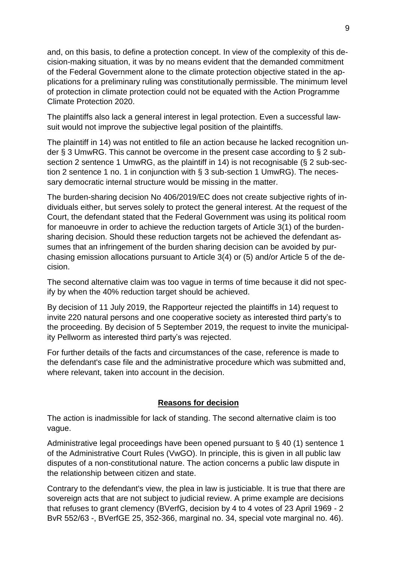and, on this basis, to define a protection concept. In view of the complexity of this decision-making situation, it was by no means evident that the demanded commitment of the Federal Government alone to the climate protection objective stated in the applications for a preliminary ruling was constitutionally permissible. The minimum level of protection in climate protection could not be equated with the Action Programme Climate Protection 2020.

The plaintiffs also lack a general interest in legal protection. Even a successful lawsuit would not improve the subjective legal position of the plaintiffs.

The plaintiff in 14) was not entitled to file an action because he lacked recognition under § 3 UmwRG. This cannot be overcome in the present case according to § 2 subsection 2 sentence 1 UmwRG, as the plaintiff in 14) is not recognisable (§ 2 sub-section 2 sentence 1 no. 1 in conjunction with § 3 sub-section 1 UmwRG). The necessary democratic internal structure would be missing in the matter.

The burden-sharing decision No 406/2019/EC does not create subjective rights of individuals either, but serves solely to protect the general interest. At the request of the Court, the defendant stated that the Federal Government was using its political room for manoeuvre in order to achieve the reduction targets of Article 3(1) of the burdensharing decision. Should these reduction targets not be achieved the defendant assumes that an infringement of the burden sharing decision can be avoided by purchasing emission allocations pursuant to Article 3(4) or (5) and/or Article 5 of the decision.

The second alternative claim was too vague in terms of time because it did not specify by when the 40% reduction target should be achieved.

By decision of 11 July 2019, the Rapporteur rejected the plaintiffs in 14) request to invite 220 natural persons and one cooperative society as interested third party's to the proceeding. By decision of 5 September 2019, the request to invite the municipality Pellworm as interested third party's was rejected.

For further details of the facts and circumstances of the case, reference is made to the defendant's case file and the administrative procedure which was submitted and, where relevant, taken into account in the decision.

## **Reasons for decision**

The action is inadmissible for lack of standing. The second alternative claim is too vague.

Administrative legal proceedings have been opened pursuant to § 40 (1) sentence 1 of the Administrative Court Rules (VwGO). In principle, this is given in all public law disputes of a non-constitutional nature. The action concerns a public law dispute in the relationship between citizen and state.

Contrary to the defendant's view, the plea in law is justiciable. It is true that there are sovereign acts that are not subject to judicial review. A prime example are decisions that refuses to grant clemency (BVerfG, decision by 4 to 4 votes of 23 April 1969 - 2 BvR 552/63 -, BVerfGE 25, 352-366, marginal no. 34, special vote marginal no. 46).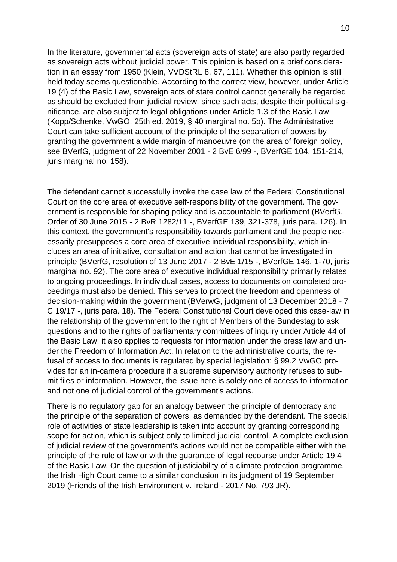In the literature, governmental acts (sovereign acts of state) are also partly regarded as sovereign acts without judicial power. This opinion is based on a brief consideration in an essay from 1950 (Klein, VVDStRL 8, 67, 111). Whether this opinion is still held today seems questionable. According to the correct view, however, under Article 19 (4) of the Basic Law, sovereign acts of state control cannot generally be regarded as should be excluded from judicial review, since such acts, despite their political significance, are also subject to legal obligations under Article 1.3 of the Basic Law (Kopp/Schenke, VwGO, 25th ed. 2019, § 40 marginal no. 5b). The Administrative Court can take sufficient account of the principle of the separation of powers by granting the government a wide margin of manoeuvre (on the area of foreign policy, see BVerfG, judgment of 22 November 2001 - 2 BvE 6/99 -, BVerfGE 104, 151-214, juris marginal no. 158).

The defendant cannot successfully invoke the case law of the Federal Constitutional Court on the core area of executive self-responsibility of the government. The government is responsible for shaping policy and is accountable to parliament (BVerfG, Order of 30 June 2015 - 2 BvR 1282/11 -, BVerfGE 139, 321-378, juris para. 126). In this context, the government's responsibility towards parliament and the people necessarily presupposes a core area of executive individual responsibility, which includes an area of initiative, consultation and action that cannot be investigated in principle (BVerfG, resolution of 13 June 2017 - 2 BvE 1/15 -, BVerfGE 146, 1-70, juris marginal no. 92). The core area of executive individual responsibility primarily relates to ongoing proceedings. In individual cases, access to documents on completed proceedings must also be denied. This serves to protect the freedom and openness of decision-making within the government (BVerwG, judgment of 13 December 2018 - 7 C 19/17 -, juris para. 18). The Federal Constitutional Court developed this case-law in the relationship of the government to the right of Members of the Bundestag to ask questions and to the rights of parliamentary committees of inquiry under Article 44 of the Basic Law; it also applies to requests for information under the press law and under the Freedom of Information Act. In relation to the administrative courts, the refusal of access to documents is regulated by special legislation: § 99.2 VwGO provides for an in-camera procedure if a supreme supervisory authority refuses to submit files or information. However, the issue here is solely one of access to information and not one of judicial control of the government's actions.

There is no regulatory gap for an analogy between the principle of democracy and the principle of the separation of powers, as demanded by the defendant. The special role of activities of state leadership is taken into account by granting corresponding scope for action, which is subject only to limited judicial control. A complete exclusion of judicial review of the government's actions would not be compatible either with the principle of the rule of law or with the guarantee of legal recourse under Article 19.4 of the Basic Law. On the question of justiciability of a climate protection programme, the Irish High Court came to a similar conclusion in its judgment of 19 September 2019 (Friends of the Irish Environment v. Ireland - 2017 No. 793 JR).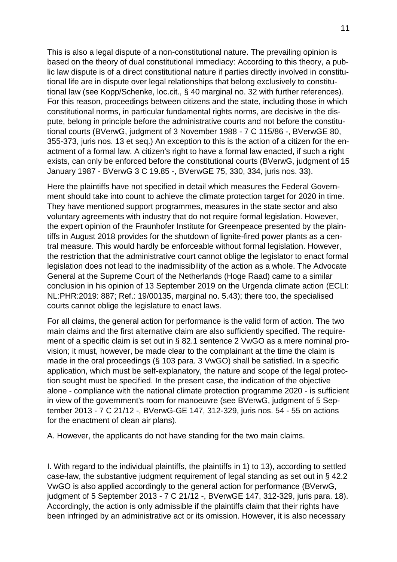This is also a legal dispute of a non-constitutional nature. The prevailing opinion is based on the theory of dual constitutional immediacy: According to this theory, a public law dispute is of a direct constitutional nature if parties directly involved in constitutional life are in dispute over legal relationships that belong exclusively to constitutional law (see Kopp/Schenke, loc.cit., § 40 marginal no. 32 with further references). For this reason, proceedings between citizens and the state, including those in which constitutional norms, in particular fundamental rights norms, are decisive in the dispute, belong in principle before the administrative courts and not before the constitutional courts (BVerwG, judgment of 3 November 1988 - 7 C 115/86 -, BVerwGE 80, 355-373, juris nos. 13 et seq.) An exception to this is the action of a citizen for the enactment of a formal law. A citizen's right to have a formal law enacted, if such a right exists, can only be enforced before the constitutional courts (BVerwG, judgment of 15 January 1987 - BVerwG 3 C 19.85 -, BVerwGE 75, 330, 334, juris nos. 33).

Here the plaintiffs have not specified in detail which measures the Federal Government should take into count to achieve the climate protection target for 2020 in time. They have mentioned support programmes, measures in the state sector and also voluntary agreements with industry that do not require formal legislation. However, the expert opinion of the Fraunhofer Institute for Greenpeace presented by the plaintiffs in August 2018 provides for the shutdown of lignite-fired power plants as a central measure. This would hardly be enforceable without formal legislation. However, the restriction that the administrative court cannot oblige the legislator to enact formal legislation does not lead to the inadmissibility of the action as a whole. The Advocate General at the Supreme Court of the Netherlands (Hoge Raad) came to a similar conclusion in his opinion of 13 September 2019 on the Urgenda climate action (ECLI: NL:PHR:2019: 887; Ref.: 19/00135, marginal no. 5.43); there too, the specialised courts cannot oblige the legislature to enact laws.

For all claims, the general action for performance is the valid form of action. The two main claims and the first alternative claim are also sufficiently specified. The requirement of a specific claim is set out in § 82.1 sentence 2 VwGO as a mere nominal provision; it must, however, be made clear to the complainant at the time the claim is made in the oral proceedings (§ 103 para. 3 VwGO) shall be satisfied. In a specific application, which must be self-explanatory, the nature and scope of the legal protection sought must be specified. In the present case, the indication of the objective alone - compliance with the national climate protection programme 2020 - is sufficient in view of the government's room for manoeuvre (see BVerwG, judgment of 5 September 2013 - 7 C 21/12 -, BVerwG-GE 147, 312-329, juris nos. 54 - 55 on actions for the enactment of clean air plans).

A. However, the applicants do not have standing for the two main claims.

I. With regard to the individual plaintiffs, the plaintiffs in 1) to 13), according to settled case-law, the substantive judgment requirement of legal standing as set out in § 42.2 VwGO is also applied accordingly to the general action for performance (BVerwG, judgment of 5 September 2013 - 7 C 21/12 -, BVerwGE 147, 312-329, juris para. 18). Accordingly, the action is only admissible if the plaintiffs claim that their rights have been infringed by an administrative act or its omission. However, it is also necessary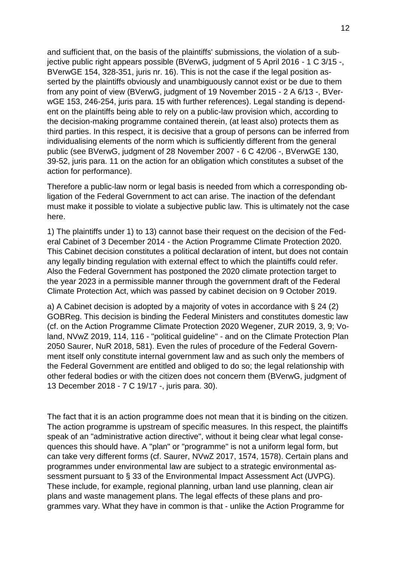and sufficient that, on the basis of the plaintiffs' submissions, the violation of a subjective public right appears possible (BVerwG, judgment of 5 April 2016 - 1 C 3/15 -, BVerwGE 154, 328-351, juris nr. 16). This is not the case if the legal position asserted by the plaintiffs obviously and unambiguously cannot exist or be due to them from any point of view (BVerwG, judgment of 19 November 2015 - 2 A 6/13 -, BVerwGE 153, 246-254, juris para. 15 with further references). Legal standing is dependent on the plaintiffs being able to rely on a public-law provision which, according to the decision-making programme contained therein, (at least also) protects them as third parties. In this respect, it is decisive that a group of persons can be inferred from individualising elements of the norm which is sufficiently different from the general public (see BVerwG, judgment of 28 November 2007 - 6 C 42/06 -, BVerwGE 130, 39-52, juris para. 11 on the action for an obligation which constitutes a subset of the action for performance).

Therefore a public-law norm or legal basis is needed from which a corresponding obligation of the Federal Government to act can arise. The inaction of the defendant must make it possible to violate a subjective public law. This is ultimately not the case here.

1) The plaintiffs under 1) to 13) cannot base their request on the decision of the Federal Cabinet of 3 December 2014 - the Action Programme Climate Protection 2020. This Cabinet decision constitutes a political declaration of intent, but does not contain any legally binding regulation with external effect to which the plaintiffs could refer. Also the Federal Government has postponed the 2020 climate protection target to the year 2023 in a permissible manner through the government draft of the Federal Climate Protection Act, which was passed by cabinet decision on 9 October 2019.

a) A Cabinet decision is adopted by a majority of votes in accordance with § 24 (2) GOBReg. This decision is binding the Federal Ministers and constitutes domestic law (cf. on the Action Programme Climate Protection 2020 Wegener, ZUR 2019, 3, 9; Voland, NVwZ 2019, 114, 116 - "political guideline" - and on the Climate Protection Plan 2050 Saurer, NuR 2018, 581). Even the rules of procedure of the Federal Government itself only constitute internal government law and as such only the members of the Federal Government are entitled and obliged to do so; the legal relationship with other federal bodies or with the citizen does not concern them (BVerwG, judgment of 13 December 2018 - 7 C 19/17 -, juris para. 30).

The fact that it is an action programme does not mean that it is binding on the citizen. The action programme is upstream of specific measures. In this respect, the plaintiffs speak of an "administrative action directive", without it being clear what legal consequences this should have. A "plan" or "programme" is not a uniform legal form, but can take very different forms (cf. Saurer, NVwZ 2017, 1574, 1578). Certain plans and programmes under environmental law are subject to a strategic environmental assessment pursuant to § 33 of the Environmental Impact Assessment Act (UVPG). These include, for example, regional planning, urban land use planning, clean air plans and waste management plans. The legal effects of these plans and programmes vary. What they have in common is that - unlike the Action Programme for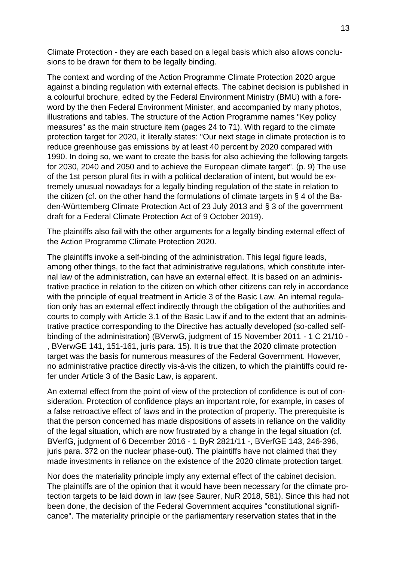Climate Protection - they are each based on a legal basis which also allows conclusions to be drawn for them to be legally binding.

The context and wording of the Action Programme Climate Protection 2020 argue against a binding regulation with external effects. The cabinet decision is published in a colourful brochure, edited by the Federal Environment Ministry (BMU) with a foreword by the then Federal Environment Minister, and accompanied by many photos, illustrations and tables. The structure of the Action Programme names "Key policy measures" as the main structure item (pages 24 to 71). With regard to the climate protection target for 2020, it literally states: "Our next stage in climate protection is to reduce greenhouse gas emissions by at least 40 percent by 2020 compared with 1990. In doing so, we want to create the basis for also achieving the following targets for 2030, 2040 and 2050 and to achieve the European climate target". (p. 9) The use of the 1st person plural fits in with a political declaration of intent, but would be extremely unusual nowadays for a legally binding regulation of the state in relation to the citizen (cf. on the other hand the formulations of climate targets in § 4 of the Baden-Württemberg Climate Protection Act of 23 July 2013 and § 3 of the government draft for a Federal Climate Protection Act of 9 October 2019).

The plaintiffs also fail with the other arguments for a legally binding external effect of the Action Programme Climate Protection 2020.

The plaintiffs invoke a self-binding of the administration. This legal figure leads, among other things, to the fact that administrative regulations, which constitute internal law of the administration, can have an external effect. It is based on an administrative practice in relation to the citizen on which other citizens can rely in accordance with the principle of equal treatment in Article 3 of the Basic Law. An internal regulation only has an external effect indirectly through the obligation of the authorities and courts to comply with Article 3.1 of the Basic Law if and to the extent that an administrative practice corresponding to the Directive has actually developed (so-called selfbinding of the administration) (BVerwG, judgment of 15 November 2011 - 1 C 21/10 - , BVerwGE 141, 151-161, juris para. 15). It is true that the 2020 climate protection target was the basis for numerous measures of the Federal Government. However, no administrative practice directly vis-à-vis the citizen, to which the plaintiffs could refer under Article 3 of the Basic Law, is apparent.

An external effect from the point of view of the protection of confidence is out of consideration. Protection of confidence plays an important role, for example, in cases of a false retroactive effect of laws and in the protection of property. The prerequisite is that the person concerned has made dispositions of assets in reliance on the validity of the legal situation, which are now frustrated by a change in the legal situation (cf. BVerfG, judgment of 6 December 2016 - 1 ByR 2821/11 -, BVerfGE 143, 246-396, juris para. 372 on the nuclear phase-out). The plaintiffs have not claimed that they made investments in reliance on the existence of the 2020 climate protection target.

Nor does the materiality principle imply any external effect of the cabinet decision. The plaintiffs are of the opinion that it would have been necessary for the climate protection targets to be laid down in law (see Saurer, NuR 2018, 581). Since this had not been done, the decision of the Federal Government acquires "constitutional significance". The materiality principle or the parliamentary reservation states that in the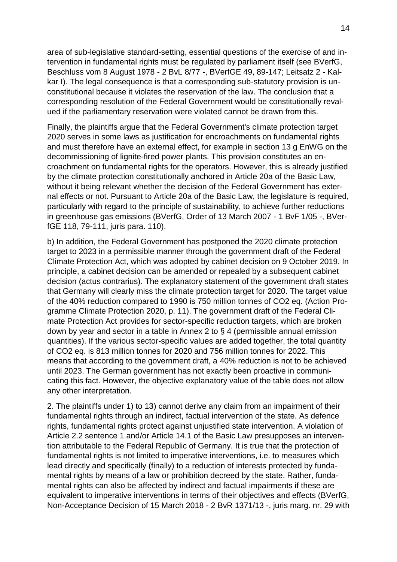area of sub-legislative standard-setting, essential questions of the exercise of and intervention in fundamental rights must be regulated by parliament itself (see BVerfG, Beschluss vom 8 August 1978 - 2 BvL 8/77 -, BVerfGE 49, 89-147; Leitsatz 2 - Kalkar I). The legal consequence is that a corresponding sub-statutory provision is unconstitutional because it violates the reservation of the law. The conclusion that a corresponding resolution of the Federal Government would be constitutionally revalued if the parliamentary reservation were violated cannot be drawn from this.

Finally, the plaintiffs argue that the Federal Government's climate protection target 2020 serves in some laws as justification for encroachments on fundamental rights and must therefore have an external effect, for example in section 13 g EnWG on the decommissioning of lignite-fired power plants. This provision constitutes an encroachment on fundamental rights for the operators. However, this is already justified by the climate protection constitutionally anchored in Article 20a of the Basic Law, without it being relevant whether the decision of the Federal Government has external effects or not. Pursuant to Article 20a of the Basic Law, the legislature is required, particularly with regard to the principle of sustainability, to achieve further reductions in greenhouse gas emissions (BVerfG, Order of 13 March 2007 - 1 BvF 1/05 -, BVerfGE 118, 79-111, juris para. 110).

b) In addition, the Federal Government has postponed the 2020 climate protection target to 2023 in a permissible manner through the government draft of the Federal Climate Protection Act, which was adopted by cabinet decision on 9 October 2019. In principle, a cabinet decision can be amended or repealed by a subsequent cabinet decision (actus contrarius). The explanatory statement of the government draft states that Germany will clearly miss the climate protection target for 2020. The target value of the 40% reduction compared to 1990 is 750 million tonnes of CO2 eq. (Action Programme Climate Protection 2020, p. 11). The government draft of the Federal Climate Protection Act provides for sector-specific reduction targets, which are broken down by year and sector in a table in Annex 2 to § 4 (permissible annual emission quantities). If the various sector-specific values are added together, the total quantity of CO2 eq. is 813 million tonnes for 2020 and 756 million tonnes for 2022. This means that according to the government draft, a 40% reduction is not to be achieved until 2023. The German government has not exactly been proactive in communicating this fact. However, the objective explanatory value of the table does not allow any other interpretation.

2. The plaintiffs under 1) to 13) cannot derive any claim from an impairment of their fundamental rights through an indirect, factual intervention of the state. As defence rights, fundamental rights protect against unjustified state intervention. A violation of Article 2.2 sentence 1 and/or Article 14.1 of the Basic Law presupposes an intervention attributable to the Federal Republic of Germany. It is true that the protection of fundamental rights is not limited to imperative interventions, i.e. to measures which lead directly and specifically (finally) to a reduction of interests protected by fundamental rights by means of a law or prohibition decreed by the state. Rather, fundamental rights can also be affected by indirect and factual impairments if these are equivalent to imperative interventions in terms of their objectives and effects (BVerfG, Non-Acceptance Decision of 15 March 2018 - 2 BvR 1371/13 -, juris marg. nr. 29 with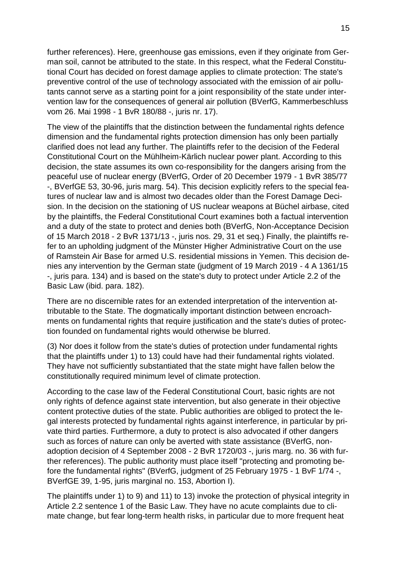further references). Here, greenhouse gas emissions, even if they originate from German soil, cannot be attributed to the state. In this respect, what the Federal Constitutional Court has decided on forest damage applies to climate protection: The state's preventive control of the use of technology associated with the emission of air pollutants cannot serve as a starting point for a joint responsibility of the state under intervention law for the consequences of general air pollution (BVerfG, Kammerbeschluss vom 26. Mai 1998 - 1 BvR 180/88 -, juris nr. 17).

The view of the plaintiffs that the distinction between the fundamental rights defence dimension and the fundamental rights protection dimension has only been partially clarified does not lead any further. The plaintiffs refer to the decision of the Federal Constitutional Court on the Mühlheim-Kärlich nuclear power plant. According to this decision, the state assumes its own co-responsibility for the dangers arising from the peaceful use of nuclear energy (BVerfG, Order of 20 December 1979 - 1 BvR 385/77 -, BVerfGE 53, 30-96, juris marg. 54). This decision explicitly refers to the special features of nuclear law and is almost two decades older than the Forest Damage Decision. In the decision on the stationing of US nuclear weapons at Büchel airbase, cited by the plaintiffs, the Federal Constitutional Court examines both a factual intervention and a duty of the state to protect and denies both (BVerfG, Non-Acceptance Decision of 15 March 2018 - 2 BvR 1371/13 -, juris nos. 29, 31 et seq.) Finally, the plaintiffs refer to an upholding judgment of the Münster Higher Administrative Court on the use of Ramstein Air Base for armed U.S. residential missions in Yemen. This decision denies any intervention by the German state (judgment of 19 March 2019 - 4 A 1361/15 -, juris para. 134) and is based on the state's duty to protect under Article 2.2 of the Basic Law (ibid. para. 182).

There are no discernible rates for an extended interpretation of the intervention attributable to the State. The dogmatically important distinction between encroachments on fundamental rights that require justification and the state's duties of protection founded on fundamental rights would otherwise be blurred.

(3) Nor does it follow from the state's duties of protection under fundamental rights that the plaintiffs under 1) to 13) could have had their fundamental rights violated. They have not sufficiently substantiated that the state might have fallen below the constitutionally required minimum level of climate protection.

According to the case law of the Federal Constitutional Court, basic rights are not only rights of defence against state intervention, but also generate in their objective content protective duties of the state. Public authorities are obliged to protect the legal interests protected by fundamental rights against interference, in particular by private third parties. Furthermore, a duty to protect is also advocated if other dangers such as forces of nature can only be averted with state assistance (BVerfG, nonadoption decision of 4 September 2008 - 2 BvR 1720/03 -, juris marg. no. 36 with further references). The public authority must place itself "protecting and promoting before the fundamental rights" (BVerfG, judgment of 25 February 1975 - 1 BvF 1/74 -, BVerfGE 39, 1-95, juris marginal no. 153, Abortion I).

The plaintiffs under 1) to 9) and 11) to 13) invoke the protection of physical integrity in Article 2.2 sentence 1 of the Basic Law. They have no acute complaints due to climate change, but fear long-term health risks, in particular due to more frequent heat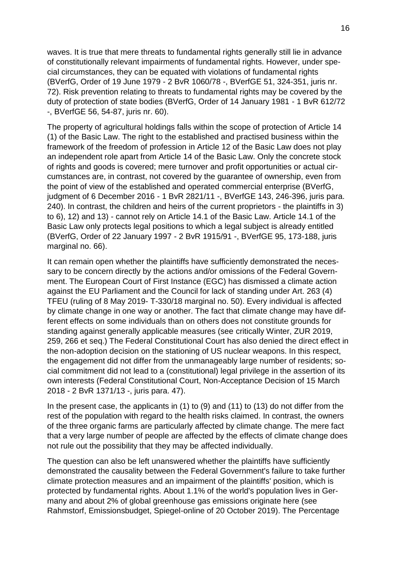waves. It is true that mere threats to fundamental rights generally still lie in advance of constitutionally relevant impairments of fundamental rights. However, under special circumstances, they can be equated with violations of fundamental rights (BVerfG, Order of 19 June 1979 - 2 BvR 1060/78 -, BVerfGE 51, 324-351, juris nr. 72). Risk prevention relating to threats to fundamental rights may be covered by the duty of protection of state bodies (BVerfG, Order of 14 January 1981 - 1 BvR 612/72 -, BVerfGE 56, 54-87, juris nr. 60).

The property of agricultural holdings falls within the scope of protection of Article 14 (1) of the Basic Law. The right to the established and practised business within the framework of the freedom of profession in Article 12 of the Basic Law does not play an independent role apart from Article 14 of the Basic Law. Only the concrete stock of rights and goods is covered; mere turnover and profit opportunities or actual circumstances are, in contrast, not covered by the guarantee of ownership, even from the point of view of the established and operated commercial enterprise (BVerfG, judgment of 6 December 2016 - 1 BvR 2821/11 -, BVerfGE 143, 246-396, juris para. 240). In contrast, the children and heirs of the current proprietors - the plaintiffs in 3) to 6), 12) and 13) - cannot rely on Article 14.1 of the Basic Law. Article 14.1 of the Basic Law only protects legal positions to which a legal subject is already entitled (BVerfG, Order of 22 January 1997 - 2 BvR 1915/91 -, BVerfGE 95, 173-188, juris marginal no. 66).

It can remain open whether the plaintiffs have sufficiently demonstrated the necessary to be concern directly by the actions and/or omissions of the Federal Government. The European Court of First Instance (EGC) has dismissed a climate action against the EU Parliament and the Council for lack of standing under Art. 263 (4) TFEU (ruling of 8 May 2019- T-330/18 marginal no. 50). Every individual is affected by climate change in one way or another. The fact that climate change may have different effects on some individuals than on others does not constitute grounds for standing against generally applicable measures (see critically Winter, ZUR 2019, 259, 266 et seq.) The Federal Constitutional Court has also denied the direct effect in the non-adoption decision on the stationing of US nuclear weapons. In this respect, the engagement did not differ from the unmanageably large number of residents; social commitment did not lead to a (constitutional) legal privilege in the assertion of its own interests (Federal Constitutional Court, Non-Acceptance Decision of 15 March 2018 - 2 BvR 1371/13 -, juris para. 47).

In the present case, the applicants in (1) to (9) and (11) to (13) do not differ from the rest of the population with regard to the health risks claimed. In contrast, the owners of the three organic farms are particularly affected by climate change. The mere fact that a very large number of people are affected by the effects of climate change does not rule out the possibility that they may be affected individually.

The question can also be left unanswered whether the plaintiffs have sufficiently demonstrated the causality between the Federal Government's failure to take further climate protection measures and an impairment of the plaintiffs' position, which is protected by fundamental rights. About 1.1% of the world's population lives in Germany and about 2% of global greenhouse gas emissions originate here (see Rahmstorf, Emissionsbudget, Spiegel-online of 20 October 2019). The Percentage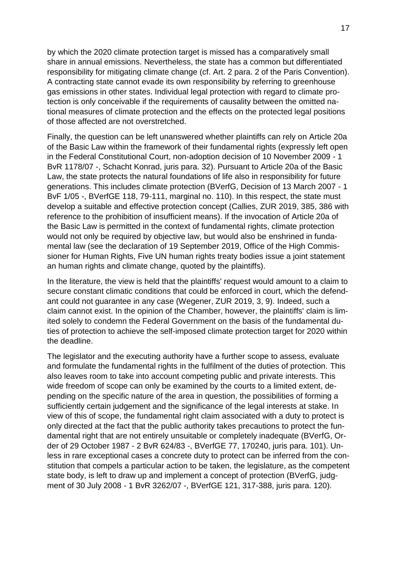by which the 2020 climate protection target is missed has a comparatively small share in annual emissions. Nevertheless, the state has a common but differentiated responsibility for mitigating climate change (cf. Art. 2 para. 2 of the Paris Convention). A contracting state cannot evade its own responsibility by referring to greenhouse gas emissions in other states. Individual legal protection with regard to climate protection is only conceivable if the requirements of causality between the omitted national measures of climate protection and the effects on the protected legal positions of those affected are not overstretched.

Finally, the question can be left unanswered whether plaintiffs can rely on Article 20a of the Basic Law within the framework of their fundamental rights (expressly left open in the Federal Constitutional Court, non-adoption decision of 10 November 2009 - 1 BvR 1178/07 -, Schacht Konrad, juris para. 32). Pursuant to Article 20a of the Basic Law, the state protects the natural foundations of life also in responsibility for future generations. This includes climate protection (BVerfG, Decision of 13 March 2007 - 1 BvF 1/05 -, BVerfGE 118, 79-111, marginal no. 110). In this respect, the state must develop a suitable and effective protection concept (Callies, ZUR 2019, 385, 386 with reference to the prohibition of insufficient means). If the invocation of Article 20a of the Basic Law is permitted in the context of fundamental rights, climate protection would not only be required by objective law, but would also be enshrined in fundamental law (see the declaration of 19 September 2019, Office of the High Commissioner for Human Rights, Five UN human rights treaty bodies issue a joint statement an human rights and climate change, quoted by the plaintiffs).

In the literature, the view is held that the plaintiffs' request would amount to a claim to secure constant climatic conditions that could be enforced in court, which the defendant could not guarantee in any case (Wegener, ZUR 2019, 3, 9). Indeed, such a claim cannot exist. In the opinion of the Chamber, however, the plaintiffs' claim is limited solely to condemn the Federal Government on the basis of the fundamental duties of protection to achieve the self-imposed climate protection target for 2020 within the deadline.

The legislator and the executing authority have a further scope to assess, evaluate and formulate the fundamental rights in the fulfilment of the duties of protection. This also leaves room to take into account competing public and private interests. This wide freedom of scope can only be examined by the courts to a limited extent, depending on the specific nature of the area in question, the possibilities of forming a sufficiently certain judgement and the significance of the legal interests at stake. In view of this of scope, the fundamental right claim associated with a duty to protect is only directed at the fact that the public authority takes precautions to protect the fundamental right that are not entirely unsuitable or completely inadequate (BVerfG, Order of 29 October 1987 - 2 BvR 624/83 -, BVerfGE 77, 170240, juris para. 101). Unless in rare exceptional cases a concrete duty to protect can be inferred from the constitution that compels a particular action to be taken, the legislature, as the competent state body, is left to draw up and implement a concept of protection (BVerfG, judgment of 30 July 2008 - 1 BvR 3262/07 -, BVerfGE 121, 317-388, juris para. 120).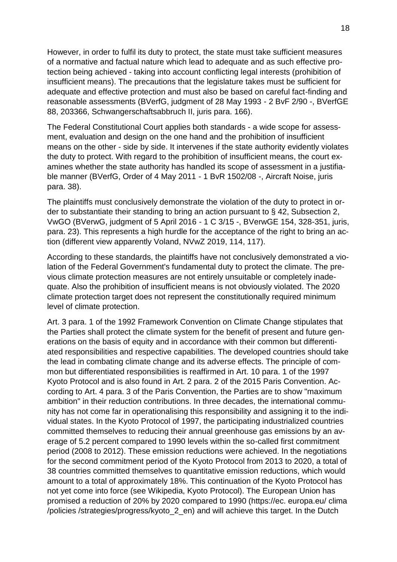However, in order to fulfil its duty to protect, the state must take sufficient measures of a normative and factual nature which lead to adequate and as such effective protection being achieved - taking into account conflicting legal interests (prohibition of insufficient means). The precautions that the legislature takes must be sufficient for adequate and effective protection and must also be based on careful fact-finding and reasonable assessments (BVerfG, judgment of 28 May 1993 - 2 BvF 2/90 -, BVerfGE 88, 203366, Schwangerschaftsabbruch II, juris para. 166).

The Federal Constitutional Court applies both standards - a wide scope for assessment, evaluation and design on the one hand and the prohibition of insufficient means on the other - side by side. It intervenes if the state authority evidently violates the duty to protect. With regard to the prohibition of insufficient means, the court examines whether the state authority has handled its scope of assessment in a justifiable manner (BVerfG, Order of 4 May 2011 - 1 BvR 1502/08 -, Aircraft Noise, juris para. 38).

The plaintiffs must conclusively demonstrate the violation of the duty to protect in order to substantiate their standing to bring an action pursuant to § 42, Subsection 2, VwGO (BVerwG, judgment of 5 April 2016 - 1 C 3/15 -, BVerwGE 154, 328-351, juris, para. 23). This represents a high hurdle for the acceptance of the right to bring an action (different view apparently Voland, NVwZ 2019, 114, 117).

According to these standards, the plaintiffs have not conclusively demonstrated a violation of the Federal Government's fundamental duty to protect the climate. The previous climate protection measures are not entirely unsuitable or completely inadequate. Also the prohibition of insufficient means is not obviously violated. The 2020 climate protection target does not represent the constitutionally required minimum level of climate protection.

Art. 3 para. 1 of the 1992 Framework Convention on Climate Change stipulates that the Parties shall protect the climate system for the benefit of present and future generations on the basis of equity and in accordance with their common but differentiated responsibilities and respective capabilities. The developed countries should take the lead in combating climate change and its adverse effects. The principle of common but differentiated responsibilities is reaffirmed in Art. 10 para. 1 of the 1997 Kyoto Protocol and is also found in Art. 2 para. 2 of the 2015 Paris Convention. According to Art. 4 para. 3 of the Paris Convention, the Parties are to show "maximum ambition" in their reduction contributions. In three decades, the international community has not come far in operationalising this responsibility and assigning it to the individual states. In the Kyoto Protocol of 1997, the participating industrialized countries committed themselves to reducing their annual greenhouse gas emissions by an average of 5.2 percent compared to 1990 levels within the so-called first commitment period (2008 to 2012). These emission reductions were achieved. In the negotiations for the second commitment period of the Kyoto Protocol from 2013 to 2020, a total of 38 countries committed themselves to quantitative emission reductions, which would amount to a total of approximately 18%. This continuation of the Kyoto Protocol has not yet come into force (see Wikipedia, Kyoto Protocol). The European Union has promised a reduction of 20% by 2020 compared to 1990 (https://ec. europa.eu/ clima /policies /strategies/progress/kyoto\_2\_en) and will achieve this target. In the Dutch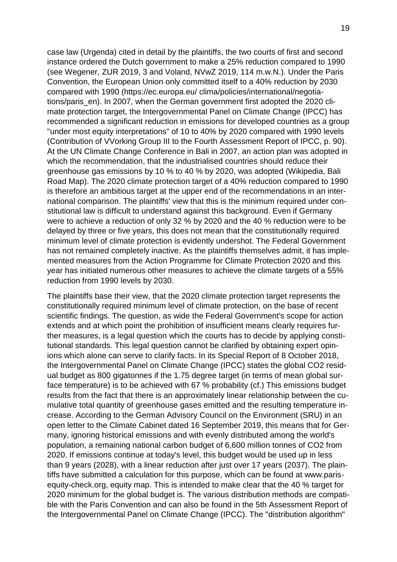case law (Urgenda) cited in detail by the plaintiffs, the two courts of first and second instance ordered the Dutch government to make a 25% reduction compared to 1990 (see Wegener, ZUR 2019, 3 and Voland, NVwZ 2019, 114 m.w.N.). Under the Paris Convention, the European Union only committed itself to a 40% reduction by 2030 compared with 1990 (https://ec.europa.eu/ clima/policies/international/negotiations/paris en). In 2007, when the German government first adopted the 2020 climate protection target, the Intergovernmental Panel on Climate Change (IPCC) has recommended a significant reduction in emissions for developed countries as a group "under most equity interpretations" of 10 to 40% by 2020 compared with 1990 levels (Contribution of VVorking Group III to the Fourth Assessment Report of IPCC, p. 90). At the UN Climate Change Conference in Bali in 2007, an action plan was adopted in which the recommendation, that the industrialised countries should reduce their greenhouse gas emissions by 10 % to 40 % by 2020, was adopted (Wikipedia, Bali Road Map). The 2020 climate protection target of a 40% reduction compared to 1990 is therefore an ambitious target at the upper end of the recommendations in an international comparison. The plaintiffs' view that this is the minimum required under constitutional law is difficult to understand against this background. Even if Germany were to achieve a reduction of only 32 % by 2020 and the 40 % reduction were to be delayed by three or five years, this does not mean that the constitutionally required minimum level of climate protection is evidently undershot. The Federal Government has not remained completely inactive. As the plaintiffs themselves admit, it has implemented measures from the Action Programme for Climate Protection 2020 and this year has initiated numerous other measures to achieve the climate targets of a 55% reduction from 1990 levels by 2030.

The plaintiffs base their view, that the 2020 climate protection target represents the constitutionally required minimum level of climate protection, on the base of recent scientific findings. The question, as wide the Federal Government's scope for action extends and at which point the prohibition of insufficient means clearly requires further measures, is a legal question which the courts has to decide by applying constitutional standards. This legal question cannot be clarified by obtaining expert opinions which alone can serve to clarify facts. In its Special Report of 8 October 2018, the Intergovernmental Panel on Climate Change (IPCC) states the global CO2 residual budget as 800 gigatonnes if the 1.75 degree target (in terms of mean global surface temperature) is to be achieved with 67 % probability (cf.) This emissions budget results from the fact that there is an approximately linear relationship between the cumulative total quantity of greenhouse gases emitted and the resulting temperature increase. According to the German Advisory Council on the Environment (SRU) in an open letter to the Climate Cabinet dated 16 September 2019, this means that for Germany, ignoring historical emissions and with evenly distributed among the world's population, a remaining national carbon budget of 6,600 million tonnes of CO2 from 2020. If emissions continue at today's level, this budget would be used up in less than 9 years (2028), with a linear reduction after just over 17 years (2037). The plaintiffs have submitted a calculation for this purpose, which can be found at www.parisequity-check.org, equity map. This is intended to make clear that the 40 % target for 2020 minimum for the global budget is. The various distribution methods are compatible with the Paris Convention and can also be found in the 5th Assessment Report of the Intergovernmental Panel on Climate Change (IPCC). The "distribution algorithm"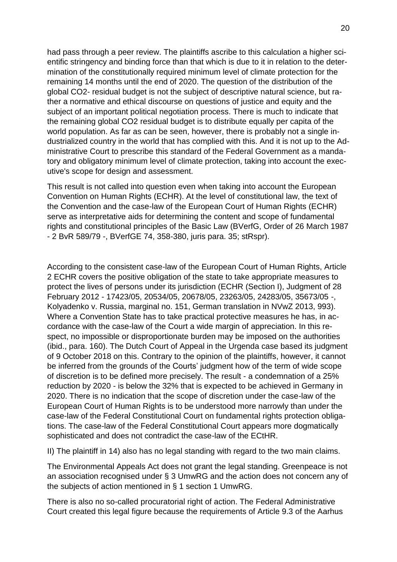had pass through a peer review. The plaintiffs ascribe to this calculation a higher scientific stringency and binding force than that which is due to it in relation to the determination of the constitutionally required minimum level of climate protection for the remaining 14 months until the end of 2020. The question of the distribution of the global CO2- residual budget is not the subject of descriptive natural science, but rather a normative and ethical discourse on questions of justice and equity and the subject of an important political negotiation process. There is much to indicate that the remaining global CO2 residual budget is to distribute equally per capita of the world population. As far as can be seen, however, there is probably not a single industrialized country in the world that has complied with this. And it is not up to the Administrative Court to prescribe this standard of the Federal Government as a mandatory and obligatory minimum level of climate protection, taking into account the executive's scope for design and assessment.

This result is not called into question even when taking into account the European Convention on Human Rights (ECHR). At the level of constitutional law, the text of the Convention and the case-law of the European Court of Human Rights (ECHR) serve as interpretative aids for determining the content and scope of fundamental rights and constitutional principles of the Basic Law (BVerfG, Order of 26 March 1987 - 2 BvR 589/79 -, BVerfGE 74, 358-380, juris para. 35; stRspr).

According to the consistent case-law of the European Court of Human Rights, Article 2 ECHR covers the positive obligation of the state to take appropriate measures to protect the lives of persons under its jurisdiction (ECHR (Section I), Judgment of 28 February 2012 - 17423/05, 20534/05, 20678/05, 23263/05, 24283/05, 35673/05 -, Kolyadenko v. Russia, marginal no. 151, German translation in NVwZ 2013, 993). Where a Convention State has to take practical protective measures he has, in accordance with the case-law of the Court a wide margin of appreciation. In this respect, no impossible or disproportionate burden may be imposed on the authorities (ibid., para. 160). The Dutch Court of Appeal in the Urgenda case based its judgment of 9 October 2018 on this. Contrary to the opinion of the plaintiffs, however, it cannot be inferred from the grounds of the Courts' judgment how of the term of wide scope of discretion is to be defined more precisely. The result - a condemnation of a 25% reduction by 2020 - is below the 32% that is expected to be achieved in Germany in 2020. There is no indication that the scope of discretion under the case-law of the European Court of Human Rights is to be understood more narrowly than under the case-law of the Federal Constitutional Court on fundamental rights protection obligations. The case-law of the Federal Constitutional Court appears more dogmatically sophisticated and does not contradict the case-law of the ECtHR.

II) The plaintiff in 14) also has no legal standing with regard to the two main claims.

The Environmental Appeals Act does not grant the legal standing. Greenpeace is not an association recognised under § 3 UmwRG and the action does not concern any of the subjects of action mentioned in § 1 section 1 UmwRG.

There is also no so-called procuratorial right of action. The Federal Administrative Court created this legal figure because the requirements of Article 9.3 of the Aarhus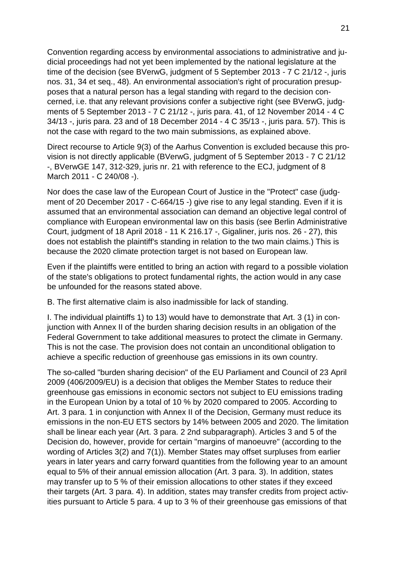Convention regarding access by environmental associations to administrative and judicial proceedings had not yet been implemented by the national legislature at the time of the decision (see BVerwG, judgment of 5 September 2013 - 7 C 21/12 -, juris nos. 31, 34 et seq., 48). An environmental association's right of procuration presupposes that a natural person has a legal standing with regard to the decision concerned, i.e. that any relevant provisions confer a subjective right (see BVerwG, judgments of 5 September 2013 - 7 C 21/12 -, juris para. 41, of 12 November 2014 - 4 C 34/13 -, juris para. 23 and of 18 December 2014 - 4 C 35/13 -, juris para. 57). This is not the case with regard to the two main submissions, as explained above.

Direct recourse to Article 9(3) of the Aarhus Convention is excluded because this provision is not directly applicable (BVerwG, judgment of 5 September 2013 - 7 C 21/12 -, BVerwGE 147, 312-329, juris nr. 21 with reference to the ECJ, judgment of 8 March 2011 - C 240/08 -).

Nor does the case law of the European Court of Justice in the "Protect" case (judgment of 20 December 2017 - C-664/15 -) give rise to any legal standing. Even if it is assumed that an environmental association can demand an objective legal control of compliance with European environmental law on this basis (see Berlin Administrative Court, judgment of 18 April 2018 - 11 K 216.17 -, Gigaliner, juris nos. 26 - 27), this does not establish the plaintiff's standing in relation to the two main claims.) This is because the 2020 climate protection target is not based on European law.

Even if the plaintiffs were entitled to bring an action with regard to a possible violation of the state's obligations to protect fundamental rights, the action would in any case be unfounded for the reasons stated above.

B. The first alternative claim is also inadmissible for lack of standing.

I. The individual plaintiffs 1) to 13) would have to demonstrate that Art. 3 (1) in conjunction with Annex II of the burden sharing decision results in an obligation of the Federal Government to take additional measures to protect the climate in Germany. This is not the case. The provision does not contain an unconditional obligation to achieve a specific reduction of greenhouse gas emissions in its own country.

The so-called "burden sharing decision" of the EU Parliament and Council of 23 April 2009 (406/2009/EU) is a decision that obliges the Member States to reduce their greenhouse gas emissions in economic sectors not subject to EU emissions trading in the European Union by a total of 10 % by 2020 compared to 2005. According to Art. 3 para. 1 in conjunction with Annex II of the Decision, Germany must reduce its emissions in the non-EU ETS sectors by 14% between 2005 and 2020. The limitation shall be linear each year (Art. 3 para. 2 2nd subparagraph). Articles 3 and 5 of the Decision do, however, provide for certain "margins of manoeuvre" (according to the wording of Articles 3(2) and 7(1)). Member States may offset surpluses from earlier years in later years and carry forward quantities from the following year to an amount equal to 5% of their annual emission allocation (Art. 3 para. 3). In addition, states may transfer up to 5 % of their emission allocations to other states if they exceed their targets (Art. 3 para. 4). In addition, states may transfer credits from project activities pursuant to Article 5 para. 4 up to 3 % of their greenhouse gas emissions of that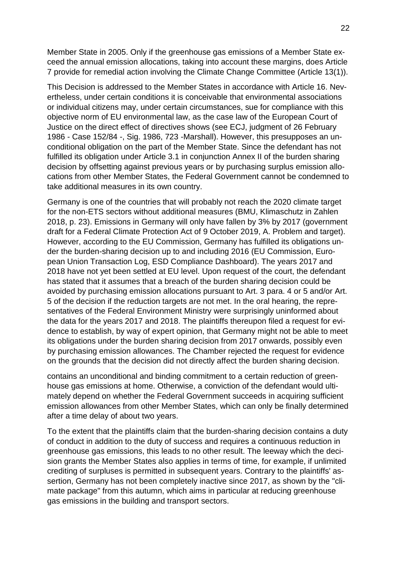Member State in 2005. Only if the greenhouse gas emissions of a Member State exceed the annual emission allocations, taking into account these margins, does Article 7 provide for remedial action involving the Climate Change Committee (Article 13(1)).

This Decision is addressed to the Member States in accordance with Article 16. Nevertheless, under certain conditions it is conceivable that environmental associations or individual citizens may, under certain circumstances, sue for compliance with this objective norm of EU environmental law, as the case law of the European Court of Justice on the direct effect of directives shows (see ECJ, judgment of 26 February 1986 - Case 152/84 -, Sig. 1986, 723 -Marshall). However, this presupposes an unconditional obligation on the part of the Member State. Since the defendant has not fulfilled its obligation under Article 3.1 in conjunction Annex II of the burden sharing decision by offsetting against previous years or by purchasing surplus emission allocations from other Member States, the Federal Government cannot be condemned to take additional measures in its own country.

Germany is one of the countries that will probably not reach the 2020 climate target for the non-ETS sectors without additional measures (BMU, Klimaschutz in Zahlen 2018, p. 23). Emissions in Germany will only have fallen by 3% by 2017 (government draft for a Federal Climate Protection Act of 9 October 2019, A. Problem and target). However, according to the EU Commission, Germany has fulfilled its obligations under the burden-sharing decision up to and including 2016 (EU Commission, European Union Transaction Log, ESD Compliance Dashboard). The years 2017 and 2018 have not yet been settled at EU level. Upon request of the court, the defendant has stated that it assumes that a breach of the burden sharing decision could be avoided by purchasing emission allocations pursuant to Art. 3 para. 4 or 5 and/or Art. 5 of the decision if the reduction targets are not met. In the oral hearing, the representatives of the Federal Environment Ministry were surprisingly uninformed about the data for the years 2017 and 2018. The plaintiffs thereupon filed a request for evidence to establish, by way of expert opinion, that Germany might not be able to meet its obligations under the burden sharing decision from 2017 onwards, possibly even by purchasing emission allowances. The Chamber rejected the request for evidence on the grounds that the decision did not directly affect the burden sharing decision.

contains an unconditional and binding commitment to a certain reduction of greenhouse gas emissions at home. Otherwise, a conviction of the defendant would ultimately depend on whether the Federal Government succeeds in acquiring sufficient emission allowances from other Member States, which can only be finally determined after a time delay of about two years.

To the extent that the plaintiffs claim that the burden-sharing decision contains a duty of conduct in addition to the duty of success and requires a continuous reduction in greenhouse gas emissions, this leads to no other result. The leeway which the decision grants the Member States also applies in terms of time, for example, if unlimited crediting of surpluses is permitted in subsequent years. Contrary to the plaintiffs' assertion, Germany has not been completely inactive since 2017, as shown by the "climate package" from this autumn, which aims in particular at reducing greenhouse gas emissions in the building and transport sectors.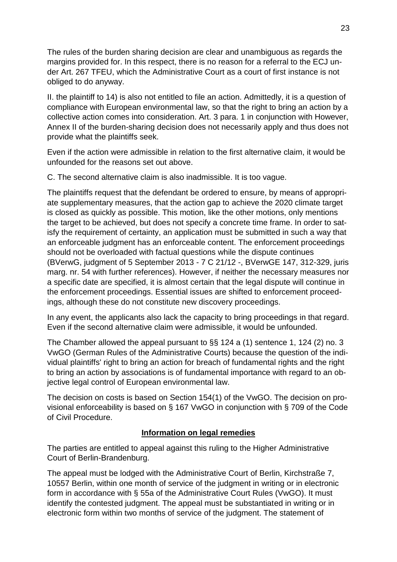The rules of the burden sharing decision are clear and unambiguous as regards the margins provided for. In this respect, there is no reason for a referral to the ECJ under Art. 267 TFEU, which the Administrative Court as a court of first instance is not obliged to do anyway.

II. the plaintiff to 14) is also not entitled to file an action. Admittedly, it is a question of compliance with European environmental law, so that the right to bring an action by a collective action comes into consideration. Art. 3 para. 1 in conjunction with However, Annex II of the burden-sharing decision does not necessarily apply and thus does not provide what the plaintiffs seek.

Even if the action were admissible in relation to the first alternative claim, it would be unfounded for the reasons set out above.

C. The second alternative claim is also inadmissible. It is too vague.

The plaintiffs request that the defendant be ordered to ensure, by means of appropriate supplementary measures, that the action gap to achieve the 2020 climate target is closed as quickly as possible. This motion, like the other motions, only mentions the target to be achieved, but does not specify a concrete time frame. In order to satisfy the requirement of certainty, an application must be submitted in such a way that an enforceable judgment has an enforceable content. The enforcement proceedings should not be overloaded with factual questions while the dispute continues (BVerwG, judgment of 5 September 2013 - 7 C 21/12 -, BVerwGE 147, 312-329, juris marg. nr. 54 with further references). However, if neither the necessary measures nor a specific date are specified, it is almost certain that the legal dispute will continue in the enforcement proceedings. Essential issues are shifted to enforcement proceedings, although these do not constitute new discovery proceedings.

In any event, the applicants also lack the capacity to bring proceedings in that regard. Even if the second alternative claim were admissible, it would be unfounded.

The Chamber allowed the appeal pursuant to §§ 124 a (1) sentence 1, 124 (2) no. 3 VwGO (German Rules of the Administrative Courts) because the question of the individual plaintiffs' right to bring an action for breach of fundamental rights and the right to bring an action by associations is of fundamental importance with regard to an objective legal control of European environmental law.

The decision on costs is based on Section 154(1) of the VwGO. The decision on provisional enforceability is based on § 167 VwGO in conjunction with § 709 of the Code of Civil Procedure.

# **Information on legal remedies**

The parties are entitled to appeal against this ruling to the Higher Administrative Court of Berlin-Brandenburg.

The appeal must be lodged with the Administrative Court of Berlin, Kirchstraße 7, 10557 Berlin, within one month of service of the judgment in writing or in electronic form in accordance with § 55a of the Administrative Court Rules (VwGO). It must identify the contested judgment. The appeal must be substantiated in writing or in electronic form within two months of service of the judgment. The statement of